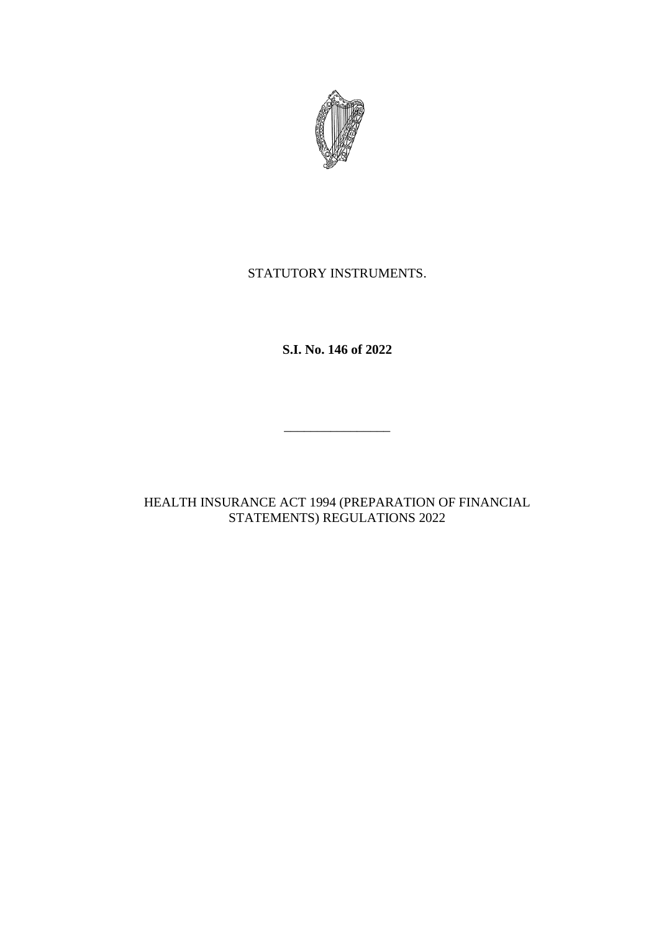

## STATUTORY INSTRUMENTS.

**S.I. No. 146 of 2022**

 $\overline{\phantom{a}}$  , where the contract of the contract of the contract of the contract of the contract of the contract of the contract of the contract of the contract of the contract of the contract of the contract of the contr

HEALTH INSURANCE ACT 1994 (PREPARATION OF FINANCIAL STATEMENTS) REGULATIONS 2022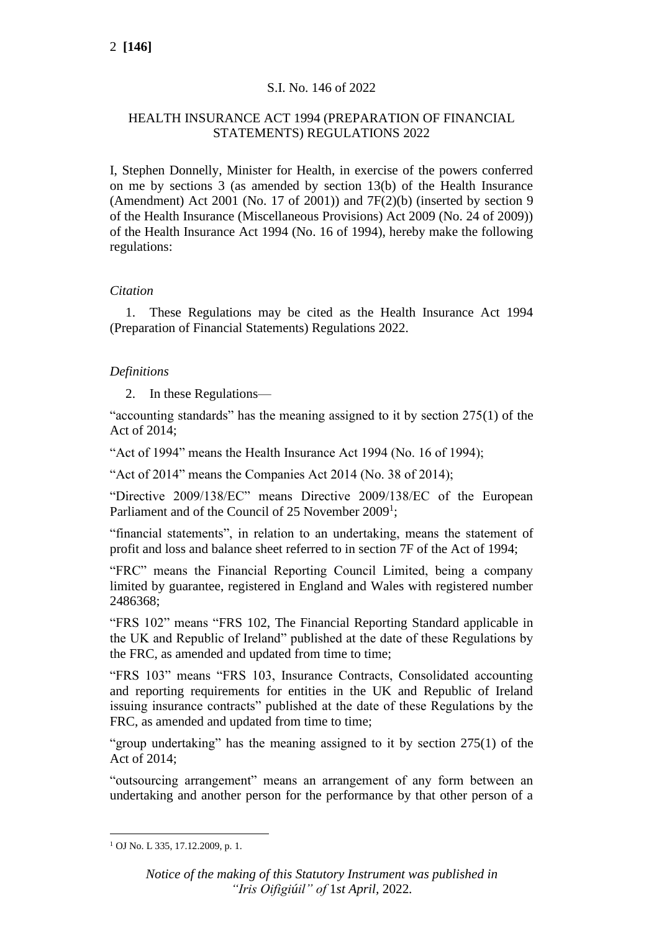## S.I. No. 146 of 2022

## HEALTH INSURANCE ACT 1994 (PREPARATION OF FINANCIAL STATEMENTS) REGULATIONS 2022

I, Stephen Donnelly, Minister for Health, in exercise of the powers conferred on me by sections 3 (as amended by section 13(b) of the Health Insurance (Amendment) Act 2001 (No. 17 of 2001)) and  $7F(2)(b)$  (inserted by section 9 of the Health Insurance (Miscellaneous Provisions) Act 2009 (No. 24 of 2009)) of the Health Insurance Act 1994 (No. 16 of 1994), hereby make the following regulations:

### *Citation*

1. These Regulations may be cited as the Health Insurance Act 1994 (Preparation of Financial Statements) Regulations 2022.

## *Definitions*

2. In these Regulations—

"accounting standards" has the meaning assigned to it by section 275(1) of the Act of 2014;

"Act of 1994" means the Health Insurance Act 1994 (No. 16 of 1994);

"Act of 2014" means the Companies Act 2014 (No. 38 of 2014);

"Directive 2009/138/EC" means Directive 2009/138/EC of the European Parliament and of the Council of 25 November 2009<sup>1</sup>;

"financial statements", in relation to an undertaking, means the statement of profit and loss and balance sheet referred to in section 7F of the Act of 1994;

"FRC" means the Financial Reporting Council Limited, being a company limited by guarantee, registered in England and Wales with registered number 2486368;

"FRS 102" means "FRS 102, The Financial Reporting Standard applicable in the UK and Republic of Ireland" published at the date of these Regulations by the FRC, as amended and updated from time to time;

"FRS 103" means "FRS 103, Insurance Contracts, Consolidated accounting and reporting requirements for entities in the UK and Republic of Ireland issuing insurance contracts" published at the date of these Regulations by the FRC, as amended and updated from time to time;

"group undertaking" has the meaning assigned to it by section 275(1) of the Act of 2014;

"outsourcing arrangement" means an arrangement of any form between an undertaking and another person for the performance by that other person of a

<sup>1</sup> OJ No. L 335, 17.12.2009, p. 1.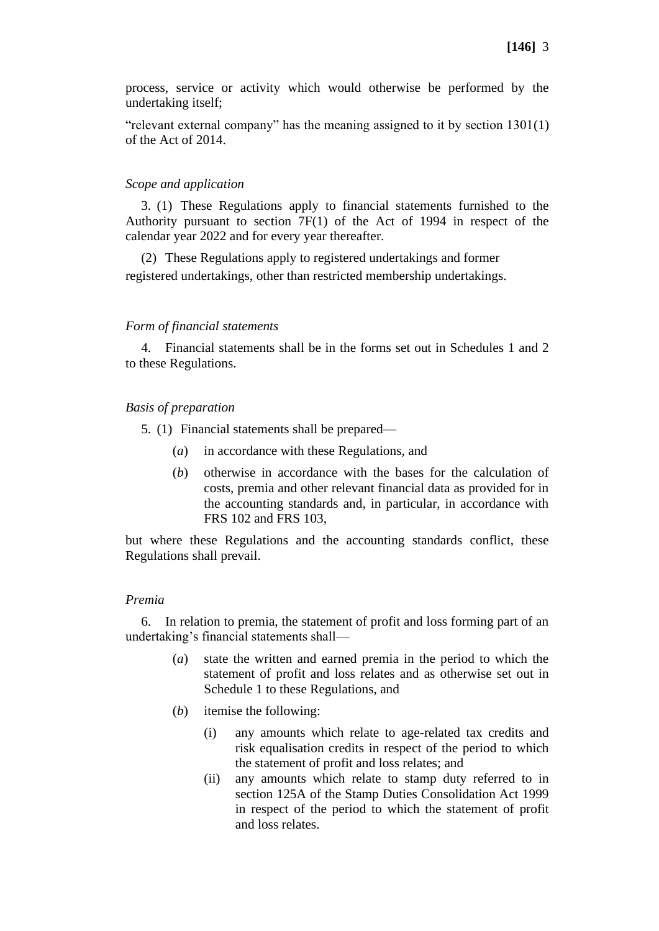process, service or activity which would otherwise be performed by the undertaking itself;

"relevant external company" has the meaning assigned to it by section 1301(1) of the Act of 2014.

### *Scope and application*

3. (1) These Regulations apply to financial statements furnished to the Authority pursuant to section 7F(1) of the Act of 1994 in respect of the calendar year 2022 and for every year thereafter.

(2) These Regulations apply to registered undertakings and former registered undertakings, other than restricted membership undertakings.

### *Form of financial statements*

4. Financial statements shall be in the forms set out in Schedules 1 and 2 to these Regulations.

### *Basis of preparation*

5. (1) Financial statements shall be prepared—

- (*a*) in accordance with these Regulations, and
- (*b*) otherwise in accordance with the bases for the calculation of costs, premia and other relevant financial data as provided for in the accounting standards and, in particular, in accordance with FRS 102 and FRS 103,

but where these Regulations and the accounting standards conflict, these Regulations shall prevail.

### *Premia*

6. In relation to premia, the statement of profit and loss forming part of an undertaking's financial statements shall—

- (*a*) state the written and earned premia in the period to which the statement of profit and loss relates and as otherwise set out in Schedule 1 to these Regulations, and
- (*b*) itemise the following:
	- (i) any amounts which relate to age-related tax credits and risk equalisation credits in respect of the period to which the statement of profit and loss relates; and
	- (ii) any amounts which relate to stamp duty referred to in section 125A of the Stamp Duties Consolidation Act 1999 in respect of the period to which the statement of profit and loss relates.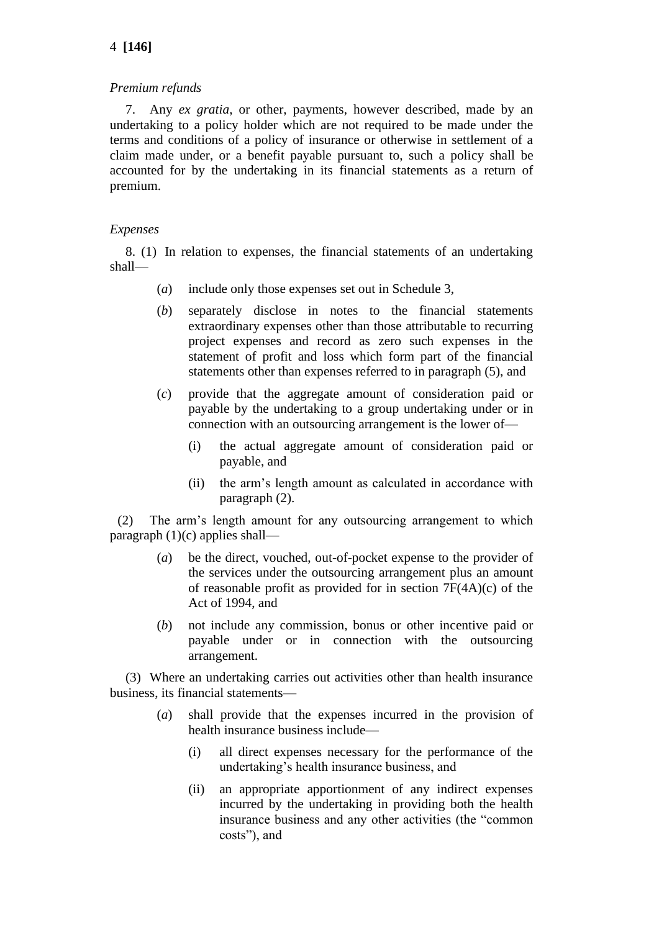## 4 **[146]**

### *Premium refunds*

7. Any *ex gratia*, or other, payments, however described, made by an undertaking to a policy holder which are not required to be made under the terms and conditions of a policy of insurance or otherwise in settlement of a claim made under, or a benefit payable pursuant to, such a policy shall be accounted for by the undertaking in its financial statements as a return of premium.

### *Expenses*

8. (1) In relation to expenses, the financial statements of an undertaking shall—

- (*a*) include only those expenses set out in Schedule 3,
- (*b*) separately disclose in notes to the financial statements extraordinary expenses other than those attributable to recurring project expenses and record as zero such expenses in the statement of profit and loss which form part of the financial statements other than expenses referred to in paragraph (5), and
- (*c*) provide that the aggregate amount of consideration paid or payable by the undertaking to a group undertaking under or in connection with an outsourcing arrangement is the lower of—
	- (i) the actual aggregate amount of consideration paid or payable, and
	- (ii) the arm's length amount as calculated in accordance with paragraph (2).

(2) The arm's length amount for any outsourcing arrangement to which paragraph  $(1)(c)$  applies shall—

- (*a*) be the direct, vouched, out-of-pocket expense to the provider of the services under the outsourcing arrangement plus an amount of reasonable profit as provided for in section 7F(4A)(c) of the Act of 1994, and
- (*b*) not include any commission, bonus or other incentive paid or payable under or in connection with the outsourcing arrangement.

(3) Where an undertaking carries out activities other than health insurance business, its financial statements—

- (*a*) shall provide that the expenses incurred in the provision of health insurance business include—
	- (i) all direct expenses necessary for the performance of the undertaking's health insurance business, and
	- (ii) an appropriate apportionment of any indirect expenses incurred by the undertaking in providing both the health insurance business and any other activities (the "common costs"), and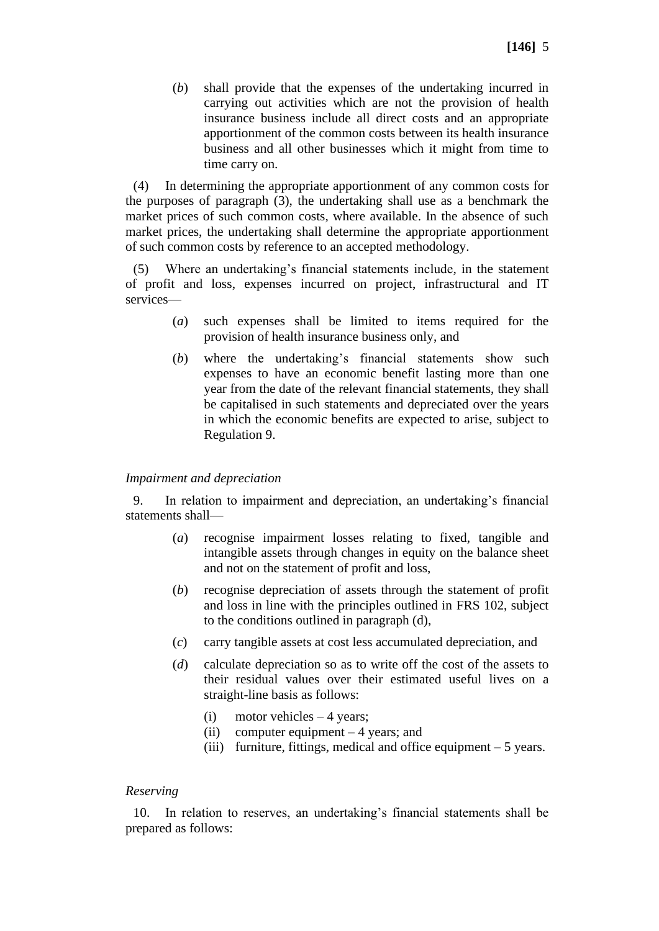(*b*) shall provide that the expenses of the undertaking incurred in carrying out activities which are not the provision of health insurance business include all direct costs and an appropriate apportionment of the common costs between its health insurance business and all other businesses which it might from time to time carry on.

(4) In determining the appropriate apportionment of any common costs for the purposes of paragraph (3), the undertaking shall use as a benchmark the market prices of such common costs, where available. In the absence of such market prices, the undertaking shall determine the appropriate apportionment of such common costs by reference to an accepted methodology.

(5) Where an undertaking's financial statements include, in the statement of profit and loss, expenses incurred on project, infrastructural and IT services—

- (*a*) such expenses shall be limited to items required for the provision of health insurance business only, and
- (*b*) where the undertaking's financial statements show such expenses to have an economic benefit lasting more than one year from the date of the relevant financial statements, they shall be capitalised in such statements and depreciated over the years in which the economic benefits are expected to arise, subject to Regulation 9.

### *Impairment and depreciation*

9. In relation to impairment and depreciation, an undertaking's financial statements shall—

- (*a*) recognise impairment losses relating to fixed, tangible and intangible assets through changes in equity on the balance sheet and not on the statement of profit and loss,
- (*b*) recognise depreciation of assets through the statement of profit and loss in line with the principles outlined in FRS 102, subject to the conditions outlined in paragraph (d),
- (*c*) carry tangible assets at cost less accumulated depreciation, and
- (*d*) calculate depreciation so as to write off the cost of the assets to their residual values over their estimated useful lives on a straight-line basis as follows:
	- (i) motor vehicles 4 years;
	- (ii) computer equipment 4 years; and
	- (iii) furniture, fittings, medical and office equipment  $-5$  years.

### *Reserving*

10. In relation to reserves, an undertaking's financial statements shall be prepared as follows: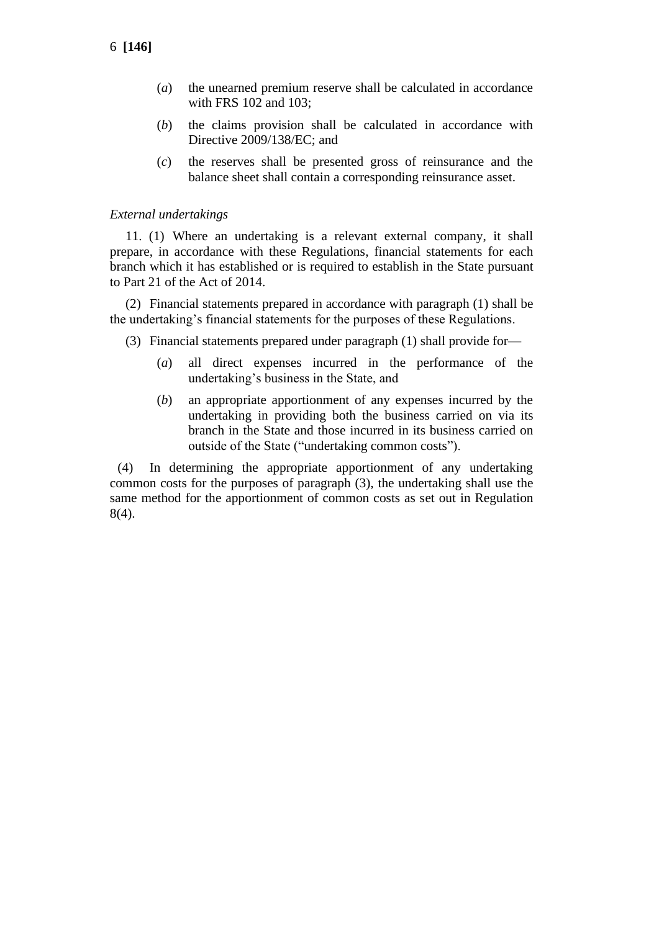- (*a*) the unearned premium reserve shall be calculated in accordance with FRS 102 and 103;
- (*b*) the claims provision shall be calculated in accordance with Directive 2009/138/EC; and
- (*c*) the reserves shall be presented gross of reinsurance and the balance sheet shall contain a corresponding reinsurance asset.

### *External undertakings*

11. (1) Where an undertaking is a relevant external company, it shall prepare, in accordance with these Regulations, financial statements for each branch which it has established or is required to establish in the State pursuant to Part 21 of the Act of 2014.

(2) Financial statements prepared in accordance with paragraph (1) shall be the undertaking's financial statements for the purposes of these Regulations.

- (3) Financial statements prepared under paragraph (1) shall provide for—
	- (*a*) all direct expenses incurred in the performance of the undertaking's business in the State, and
	- (*b*) an appropriate apportionment of any expenses incurred by the undertaking in providing both the business carried on via its branch in the State and those incurred in its business carried on outside of the State ("undertaking common costs").

(4) In determining the appropriate apportionment of any undertaking common costs for the purposes of paragraph (3), the undertaking shall use the same method for the apportionment of common costs as set out in Regulation 8(4).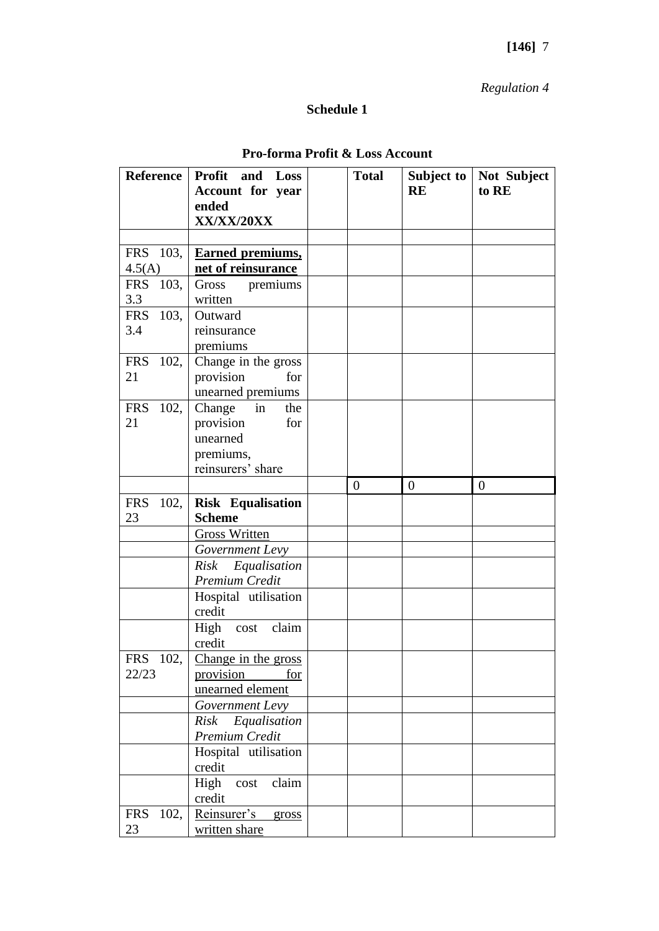# *Regulation 4*

# **Schedule 1**

| <b>Reference</b>   | Profit and Loss          | <b>Total</b>   | Subject to     | Not Subject    |
|--------------------|--------------------------|----------------|----------------|----------------|
|                    | Account for year         |                | <b>RE</b>      | to RE          |
|                    | ended                    |                |                |                |
|                    | XX/XX/20XX               |                |                |                |
|                    |                          |                |                |                |
| FRS 103,           | <b>Earned premiums,</b>  |                |                |                |
| 4.5(A)             | net of reinsurance       |                |                |                |
| <b>FRS</b><br>103, | Gross premiums           |                |                |                |
| 3.3                | written                  |                |                |                |
| FRS 103,           | Outward                  |                |                |                |
| 3.4                | reinsurance              |                |                |                |
|                    | premiums                 |                |                |                |
| <b>FRS</b><br>102, | Change in the gross      |                |                |                |
| 21                 | provision<br>for         |                |                |                |
|                    | unearned premiums        |                |                |                |
| <b>FRS</b><br>102, | Change<br>the<br>in      |                |                |                |
| 21                 | provision<br>for         |                |                |                |
|                    | unearned                 |                |                |                |
|                    | premiums,                |                |                |                |
|                    | reinsurers' share        |                |                |                |
|                    |                          | $\overline{0}$ | $\overline{0}$ | $\overline{0}$ |
| <b>FRS</b><br>102, | <b>Risk Equalisation</b> |                |                |                |
| 23                 | <b>Scheme</b>            |                |                |                |
|                    | <b>Gross Written</b>     |                |                |                |
|                    | Government Levy          |                |                |                |
|                    | Risk Equalisation        |                |                |                |
|                    | Premium Credit           |                |                |                |
|                    | Hospital utilisation     |                |                |                |
|                    | credit                   |                |                |                |
|                    | High cost claim          |                |                |                |
|                    | credit                   |                |                |                |
| <b>FRS</b><br>102, | Change in the gross      |                |                |                |
| 22/23              | provision for            |                |                |                |
|                    | unearned element         |                |                |                |
|                    | Government Levy          |                |                |                |
|                    | Risk Equalisation        |                |                |                |
|                    | Premium Credit           |                |                |                |
|                    | Hospital utilisation     |                |                |                |
|                    | credit                   |                |                |                |
|                    | claim<br>High<br>cost    |                |                |                |
|                    | credit                   |                |                |                |
| 102,<br><b>FRS</b> | Reinsurer's<br>gross     |                |                |                |
| 23                 | written share            |                |                |                |

## **Pro-forma Profit & Loss Account**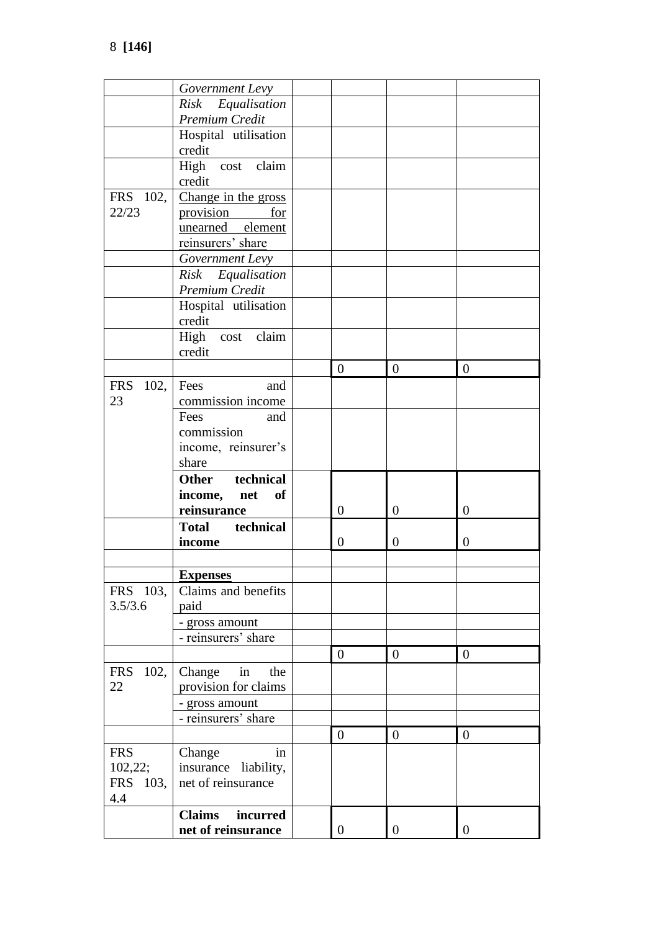|                    | Government Levy           |                  |                |                  |
|--------------------|---------------------------|------------------|----------------|------------------|
|                    | Risk Equalisation         |                  |                |                  |
|                    | Premium Credit            |                  |                |                  |
|                    | Hospital utilisation      |                  |                |                  |
|                    | credit                    |                  |                |                  |
|                    | claim<br>High cost        |                  |                |                  |
|                    | credit                    |                  |                |                  |
| FRS 102,           | Change in the gross       |                  |                |                  |
| 22/23              | <u>provision</u><br>for   |                  |                |                  |
|                    | unearned element          |                  |                |                  |
|                    | reinsurers' share         |                  |                |                  |
|                    |                           |                  |                |                  |
|                    | Government Levy           |                  |                |                  |
|                    | Risk Equalisation         |                  |                |                  |
|                    | Premium Credit            |                  |                |                  |
|                    | Hospital utilisation      |                  |                |                  |
|                    | credit                    |                  |                |                  |
|                    | High cost claim           |                  |                |                  |
|                    | credit                    |                  |                |                  |
|                    |                           | $\overline{0}$   | $\overline{0}$ | $\theta$         |
| <b>FRS</b><br>102, | Fees<br>and               |                  |                |                  |
| 23                 | commission income         |                  |                |                  |
|                    | Fees<br>and               |                  |                |                  |
|                    | commission                |                  |                |                  |
|                    | income, reinsurer's       |                  |                |                  |
|                    | share                     |                  |                |                  |
|                    | technical<br><b>Other</b> |                  |                |                  |
|                    | of<br>income, net         |                  |                |                  |
|                    | reinsurance               | $\overline{0}$   | $\theta$       | $\theta$         |
|                    | Total technical           |                  |                |                  |
|                    | income                    | $\boldsymbol{0}$ | $\theta$       | $\theta$         |
|                    |                           |                  |                |                  |
|                    | <b>Expenses</b>           |                  |                |                  |
| FRS 103,           | Claims and benefits       |                  |                |                  |
| 3.5/3.6            | paid                      |                  |                |                  |
|                    | - gross amount            |                  |                |                  |
|                    | - reinsurers' share       |                  |                |                  |
|                    |                           | $\boldsymbol{0}$ | $\overline{0}$ | $\overline{0}$   |
| 102,<br><b>FRS</b> | Change<br>in<br>the       |                  |                |                  |
| 22                 | provision for claims      |                  |                |                  |
|                    | - gross amount            |                  |                |                  |
|                    | - reinsurers' share       |                  |                |                  |
|                    |                           |                  |                |                  |
|                    |                           | $\boldsymbol{0}$ | $\overline{0}$ | $\boldsymbol{0}$ |
| <b>FRS</b>         | Change<br>in              |                  |                |                  |
| 102,22;            | insurance liability,      |                  |                |                  |
| FRS 103,           | net of reinsurance        |                  |                |                  |
| 4.4                |                           |                  |                |                  |
|                    | <b>Claims</b><br>incurred |                  |                |                  |
|                    | net of reinsurance        | $\boldsymbol{0}$ | $\overline{0}$ | $\boldsymbol{0}$ |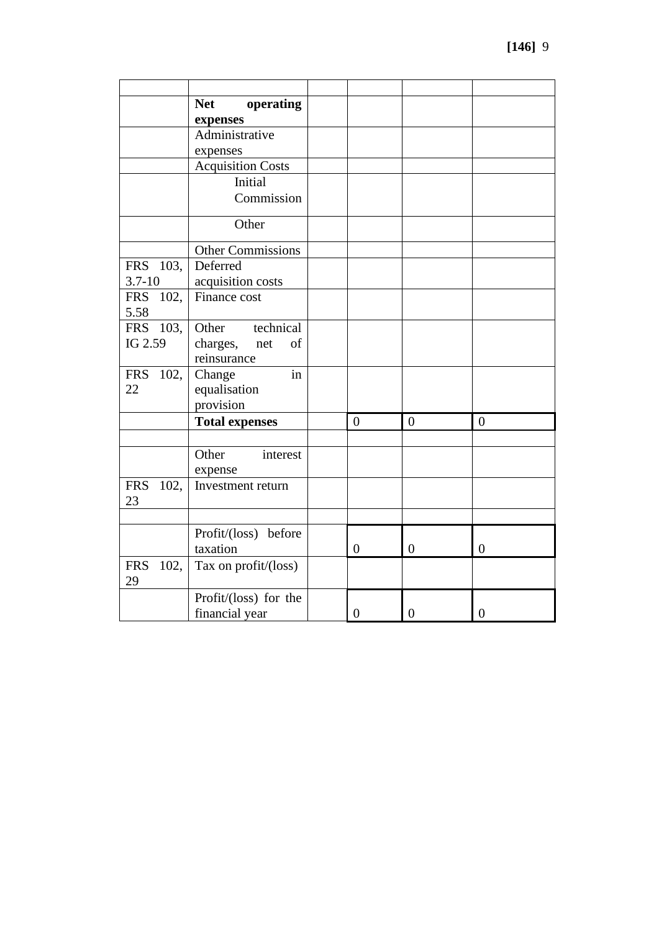|                            | <b>Net</b><br>operating<br>expenses               |                  |                  |                  |
|----------------------------|---------------------------------------------------|------------------|------------------|------------------|
|                            | Administrative<br>expenses                        |                  |                  |                  |
|                            | <b>Acquisition Costs</b>                          |                  |                  |                  |
|                            | Initial                                           |                  |                  |                  |
|                            | Commission                                        |                  |                  |                  |
|                            | Other                                             |                  |                  |                  |
|                            | <b>Other Commissions</b>                          |                  |                  |                  |
| <b>FRS</b><br>103,         | Deferred                                          |                  |                  |                  |
| $3.7 - 10$                 | acquisition costs                                 |                  |                  |                  |
| <b>FRS</b><br>102,<br>5.58 | Finance cost                                      |                  |                  |                  |
| <b>FRS</b><br>103,         | technical<br>Other                                |                  |                  |                  |
| IG 2.59                    | charges,<br>of<br>net<br>reinsurance              |                  |                  |                  |
| <b>FRS</b><br>102,<br>22   | in<br>Change<br>equalisation<br>provision         |                  |                  |                  |
|                            | <b>Total expenses</b>                             | $\overline{0}$   | $\boldsymbol{0}$ | $\overline{0}$   |
| <b>FRS</b><br>102,<br>23   | Other<br>interest<br>expense<br>Investment return |                  |                  |                  |
|                            | Profit/(loss) before                              |                  |                  |                  |
|                            | taxation                                          | $\overline{0}$   | $\theta$         | $\theta$         |
| <b>FRS</b><br>102,<br>29   | Tax on profit/(loss)                              |                  |                  |                  |
|                            | Profit/(loss) for the<br>financial year           | $\boldsymbol{0}$ | $\boldsymbol{0}$ | $\boldsymbol{0}$ |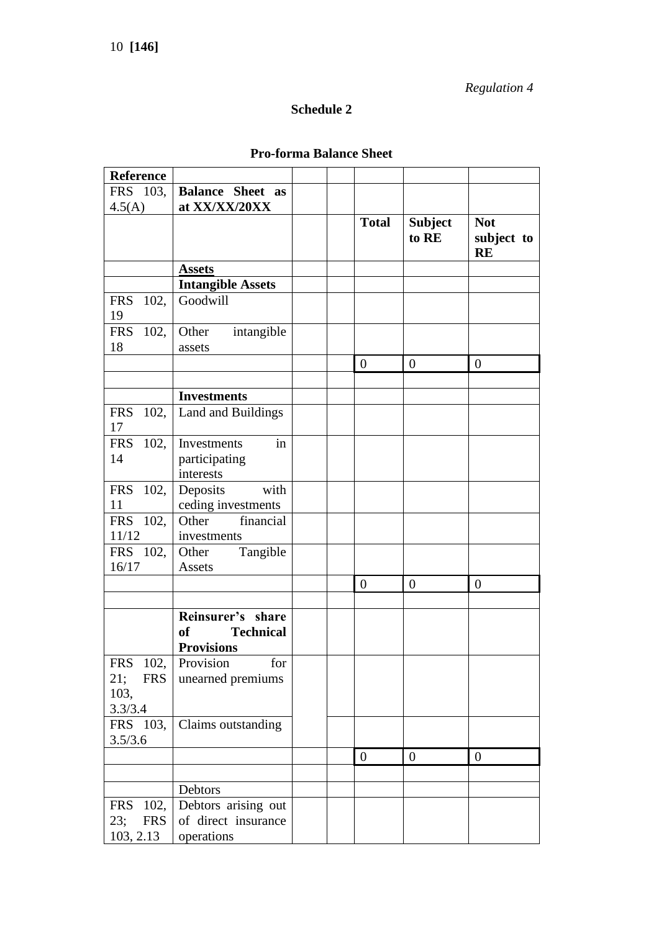*Regulation 4*

# **Schedule 2**

## **Pro-forma Balance Sheet**

| <b>Reference</b>         |                                                                             |  |                  |                         |                                       |
|--------------------------|-----------------------------------------------------------------------------|--|------------------|-------------------------|---------------------------------------|
| FRS 103,                 | <b>Balance Sheet as</b>                                                     |  |                  |                         |                                       |
| 4.5(A)                   | at XX/XX/20XX                                                               |  |                  |                         |                                       |
|                          |                                                                             |  | <b>Total</b>     | <b>Subject</b><br>to RE | <b>Not</b><br>subject to<br><b>RE</b> |
|                          | <b>Assets</b>                                                               |  |                  |                         |                                       |
|                          | <b>Intangible Assets</b>                                                    |  |                  |                         |                                       |
| <b>FRS</b><br>102,<br>19 | Goodwill                                                                    |  |                  |                         |                                       |
| FRS 102,<br>18           | Other<br>intangible<br>assets                                               |  |                  |                         |                                       |
|                          |                                                                             |  | $\overline{0}$   | $\theta$                | $\boldsymbol{0}$                      |
|                          |                                                                             |  |                  |                         |                                       |
|                          | <b>Investments</b>                                                          |  |                  |                         |                                       |
| <b>FRS</b><br>102,<br>17 | Land and Buildings                                                          |  |                  |                         |                                       |
| <b>FRS</b><br>102,       | Investments<br>in                                                           |  |                  |                         |                                       |
| 14                       | participating                                                               |  |                  |                         |                                       |
|                          | interests                                                                   |  |                  |                         |                                       |
| 102,<br><b>FRS</b>       | with<br>Deposits                                                            |  |                  |                         |                                       |
| 11                       | ceding investments                                                          |  |                  |                         |                                       |
| FRS 102,                 | financial<br>Other                                                          |  |                  |                         |                                       |
| 11/12                    | investments                                                                 |  |                  |                         |                                       |
| FRS 102,                 | Other<br>Tangible                                                           |  |                  |                         |                                       |
| 16/17                    | Assets                                                                      |  |                  |                         |                                       |
|                          |                                                                             |  | $\overline{0}$   | $\overline{0}$          | $\overline{0}$                        |
|                          |                                                                             |  |                  |                         |                                       |
|                          | Reinsurer's share<br><sub>of</sub><br><b>Technical</b><br><b>Provisions</b> |  |                  |                         |                                       |
| <b>FRS</b><br>102,       | for<br>Provision                                                            |  |                  |                         |                                       |
| 21;<br><b>FRS</b>        | unearned premiums                                                           |  |                  |                         |                                       |
| 103,                     |                                                                             |  |                  |                         |                                       |
| 3.3/3.4                  |                                                                             |  |                  |                         |                                       |
| FRS 103,<br>3.5/3.6      | Claims outstanding                                                          |  |                  |                         |                                       |
|                          |                                                                             |  | $\boldsymbol{0}$ | $\boldsymbol{0}$        | $\boldsymbol{0}$                      |
|                          |                                                                             |  |                  |                         |                                       |
|                          | Debtors                                                                     |  |                  |                         |                                       |
| 102,<br><b>FRS</b>       | Debtors arising out                                                         |  |                  |                         |                                       |
| 23;<br><b>FRS</b>        | of direct insurance                                                         |  |                  |                         |                                       |
| 103, 2.13                | operations                                                                  |  |                  |                         |                                       |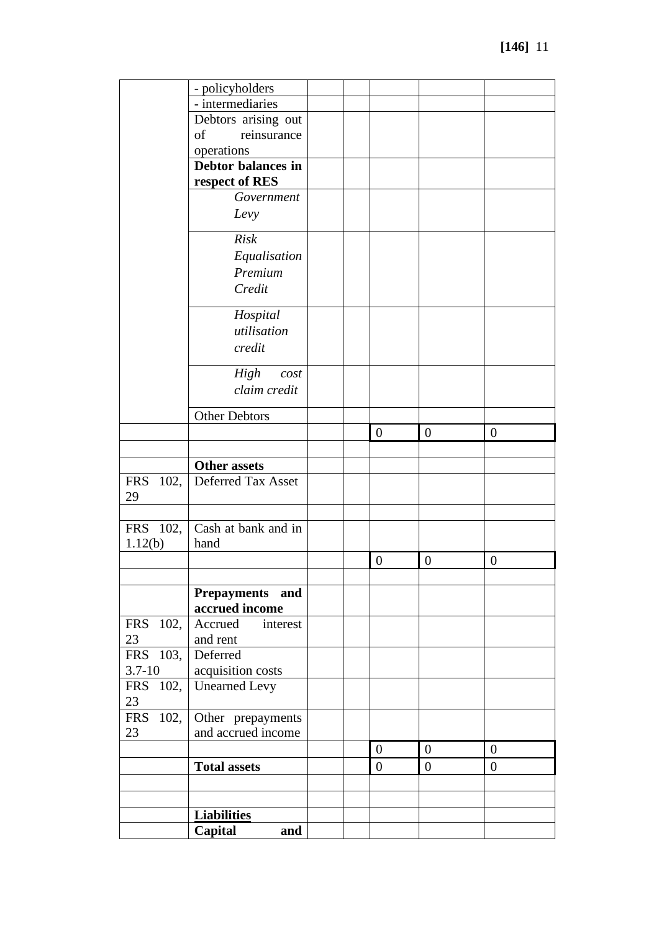|                          | - policyholders                 |  |                  |                  |                  |
|--------------------------|---------------------------------|--|------------------|------------------|------------------|
|                          | - intermediaries                |  |                  |                  |                  |
|                          | Debtors arising out             |  |                  |                  |                  |
|                          | reinsurance<br>of               |  |                  |                  |                  |
|                          | operations                      |  |                  |                  |                  |
|                          | Debtor balances in              |  |                  |                  |                  |
|                          | respect of RES                  |  |                  |                  |                  |
|                          | Government                      |  |                  |                  |                  |
|                          | Levy                            |  |                  |                  |                  |
|                          | <b>Risk</b>                     |  |                  |                  |                  |
|                          | Equalisation                    |  |                  |                  |                  |
|                          | Premium                         |  |                  |                  |                  |
|                          | Credit                          |  |                  |                  |                  |
|                          | Hospital                        |  |                  |                  |                  |
|                          | utilisation                     |  |                  |                  |                  |
|                          | credit                          |  |                  |                  |                  |
|                          | High<br>cost                    |  |                  |                  |                  |
|                          | claim credit                    |  |                  |                  |                  |
|                          | <b>Other Debtors</b>            |  |                  |                  |                  |
|                          |                                 |  | $\boldsymbol{0}$ | $\boldsymbol{0}$ | $\boldsymbol{0}$ |
|                          |                                 |  |                  |                  |                  |
|                          | <b>Other assets</b>             |  |                  |                  |                  |
| <b>FRS</b><br>102,       | Deferred Tax Asset              |  |                  |                  |                  |
| 29                       |                                 |  |                  |                  |                  |
|                          |                                 |  |                  |                  |                  |
| FRS 102,                 | Cash at bank and in             |  |                  |                  |                  |
| 1.12(b)                  | hand                            |  |                  |                  |                  |
|                          |                                 |  | $\boldsymbol{0}$ | $\boldsymbol{0}$ | $\boldsymbol{0}$ |
|                          |                                 |  |                  |                  |                  |
|                          | <b>Prepayments</b><br>and       |  |                  |                  |                  |
|                          | accrued income                  |  |                  |                  |                  |
| 102,<br><b>FRS</b><br>23 | Accrued<br>interest<br>and rent |  |                  |                  |                  |
| FRS 103,                 | Deferred                        |  |                  |                  |                  |
| $3.7 - 10$               | acquisition costs               |  |                  |                  |                  |
| <b>FRS</b><br>102,       | <b>Unearned Levy</b>            |  |                  |                  |                  |
| 23                       |                                 |  |                  |                  |                  |
| <b>FRS</b><br>102,       | Other prepayments               |  |                  |                  |                  |
| 23                       | and accrued income              |  |                  |                  |                  |
|                          |                                 |  | $\mathbf{0}$     | $\overline{0}$   | $\boldsymbol{0}$ |
|                          | <b>Total assets</b>             |  | $\overline{0}$   | $\boldsymbol{0}$ | $\boldsymbol{0}$ |
|                          |                                 |  |                  |                  |                  |
|                          |                                 |  |                  |                  |                  |
|                          | <b>Liabilities</b>              |  |                  |                  |                  |
|                          | Capital<br>and                  |  |                  |                  |                  |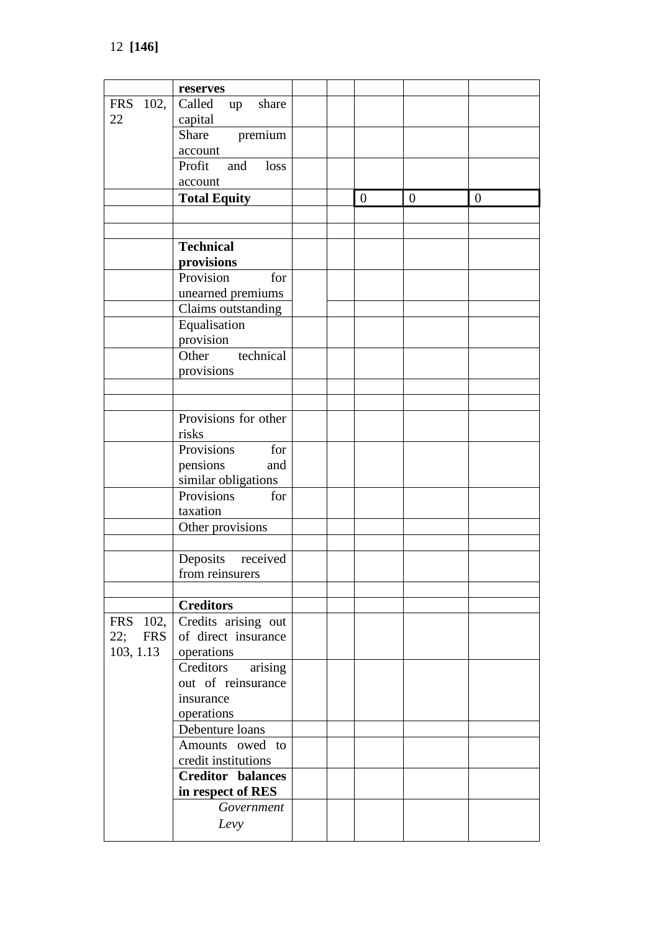|                   | reserves                 |  |                  |                |                  |
|-------------------|--------------------------|--|------------------|----------------|------------------|
| FRS 102,          | Called up<br>share       |  |                  |                |                  |
| 22                | capital                  |  |                  |                |                  |
|                   | premium<br>Share         |  |                  |                |                  |
|                   | account                  |  |                  |                |                  |
|                   | Profit<br>and<br>loss    |  |                  |                |                  |
|                   | account                  |  |                  |                |                  |
|                   | <b>Total Equity</b>      |  | $\boldsymbol{0}$ | $\overline{0}$ | $\boldsymbol{0}$ |
|                   |                          |  |                  |                |                  |
|                   |                          |  |                  |                |                  |
|                   | <b>Technical</b>         |  |                  |                |                  |
|                   | provisions               |  |                  |                |                  |
|                   | Provision<br>for         |  |                  |                |                  |
|                   | unearned premiums        |  |                  |                |                  |
|                   | Claims outstanding       |  |                  |                |                  |
|                   | Equalisation             |  |                  |                |                  |
|                   | provision                |  |                  |                |                  |
|                   | Other technical          |  |                  |                |                  |
|                   | provisions               |  |                  |                |                  |
|                   |                          |  |                  |                |                  |
|                   |                          |  |                  |                |                  |
|                   | Provisions for other     |  |                  |                |                  |
|                   | risks                    |  |                  |                |                  |
|                   | Provisions<br>for        |  |                  |                |                  |
|                   | pensions<br>and          |  |                  |                |                  |
|                   | similar obligations      |  |                  |                |                  |
|                   | Provisions<br>for        |  |                  |                |                  |
|                   | taxation                 |  |                  |                |                  |
|                   | Other provisions         |  |                  |                |                  |
|                   |                          |  |                  |                |                  |
|                   | Deposits received        |  |                  |                |                  |
|                   | from reinsurers          |  |                  |                |                  |
|                   |                          |  |                  |                |                  |
|                   | <b>Creditors</b>         |  |                  |                |                  |
| FRS 102,          | Credits arising out      |  |                  |                |                  |
| 22;<br><b>FRS</b> | of direct insurance      |  |                  |                |                  |
| 103, 1.13         | operations               |  |                  |                |                  |
|                   | arising<br>Creditors     |  |                  |                |                  |
|                   | out of reinsurance       |  |                  |                |                  |
|                   | insurance                |  |                  |                |                  |
|                   | operations               |  |                  |                |                  |
|                   | Debenture loans          |  |                  |                |                  |
|                   | Amounts owed to          |  |                  |                |                  |
|                   | credit institutions      |  |                  |                |                  |
|                   | <b>Creditor balances</b> |  |                  |                |                  |
|                   | in respect of RES        |  |                  |                |                  |
|                   | Government               |  |                  |                |                  |
|                   | Levy                     |  |                  |                |                  |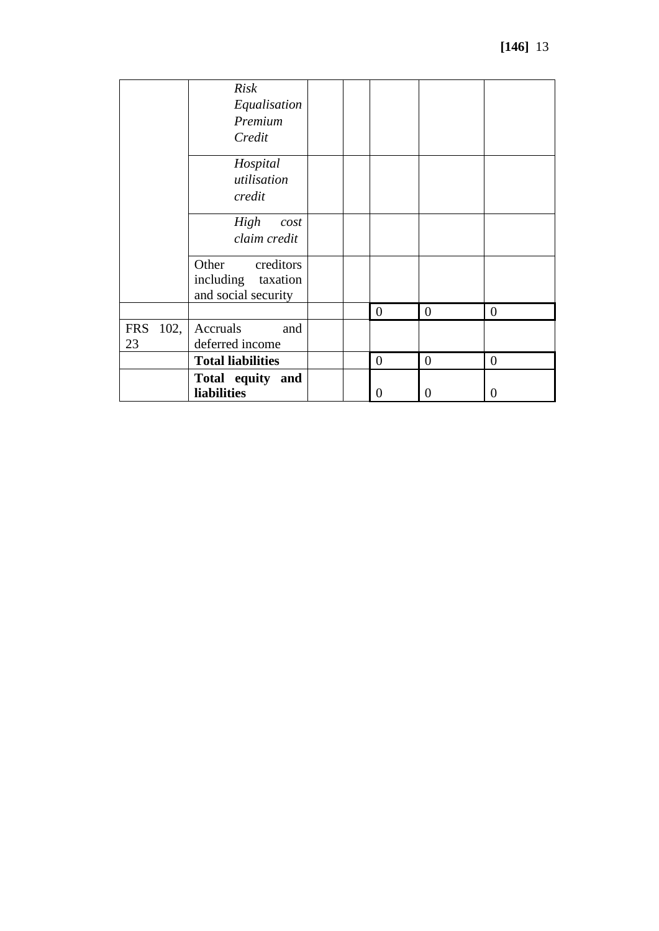|                          | <b>Risk</b><br>Equalisation<br>Premium<br>Credit                |  |                |                |                |
|--------------------------|-----------------------------------------------------------------|--|----------------|----------------|----------------|
|                          | Hospital<br>utilisation<br>credit                               |  |                |                |                |
|                          | High<br>cost<br>claim credit                                    |  |                |                |                |
|                          | Other<br>creditors<br>including taxation<br>and social security |  |                |                |                |
|                          |                                                                 |  | $\overline{0}$ | $\overline{0}$ | $\overline{0}$ |
| 102,<br><b>FRS</b><br>23 | Accruals<br>and<br>deferred income                              |  |                |                |                |
|                          | <b>Total liabilities</b>                                        |  | $\mathbf{0}$   | $\overline{0}$ | $\overline{0}$ |
|                          | Total equity and<br><b>liabilities</b>                          |  | $\theta$       | $\theta$       | 0              |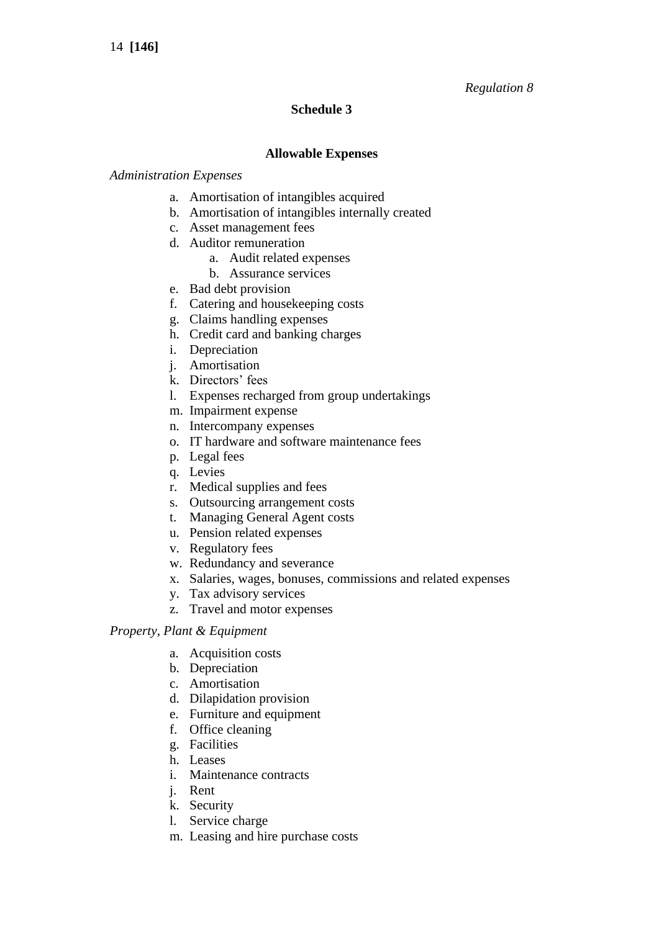## *Regulation 8*

## **Schedule 3**

### **Allowable Expenses**

### *Administration Expenses*

- a. Amortisation of intangibles acquired
- b. Amortisation of intangibles internally created
- c. Asset management fees
- d. Auditor remuneration
	- a. Audit related expenses
	- b. Assurance services
- e. Bad debt provision
- f. Catering and housekeeping costs
- g. Claims handling expenses
- h. Credit card and banking charges
- i. Depreciation
- j. Amortisation
- k. Directors' fees
- l. Expenses recharged from group undertakings
- m. Impairment expense
- n. Intercompany expenses
- o. IT hardware and software maintenance fees
- p. Legal fees
- q. Levies
- r. Medical supplies and fees
- s. Outsourcing arrangement costs
- t. Managing General Agent costs
- u. Pension related expenses
- v. Regulatory fees
- w. Redundancy and severance
- x. Salaries, wages, bonuses, commissions and related expenses
- y. Tax advisory services
- z. Travel and motor expenses

### *Property, Plant & Equipment*

- a. Acquisition costs
- b. Depreciation
- c. Amortisation
- d. Dilapidation provision
- e. Furniture and equipment
- f. Office cleaning
- g. Facilities
- h. Leases
- i. Maintenance contracts
- j. Rent
- k. Security
- l. Service charge
- m. Leasing and hire purchase costs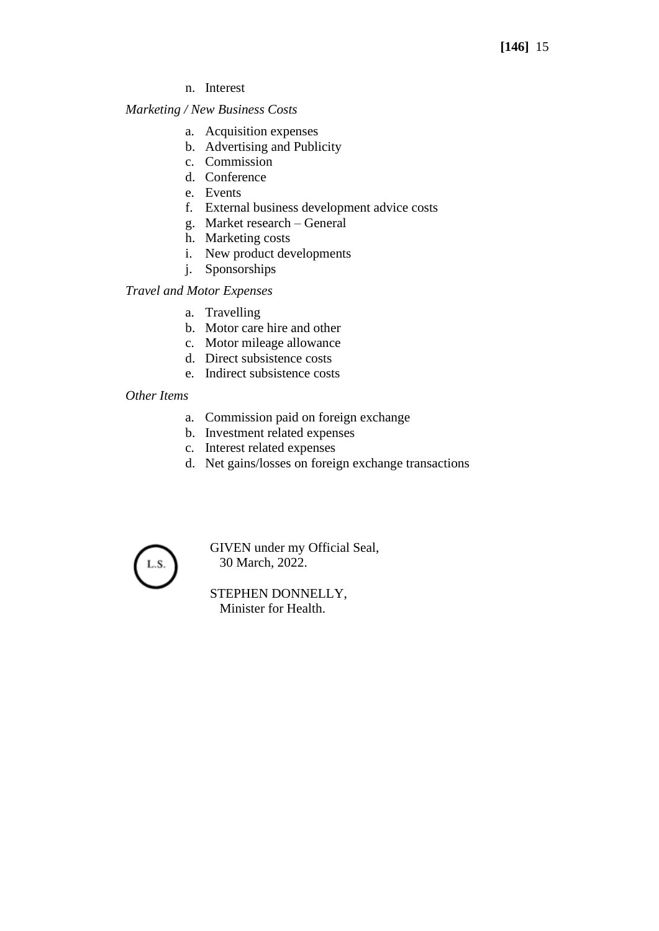n. Interest

### *Marketing / New Business Costs*

- a. Acquisition expenses
- b. Advertising and Publicity
- c. Commission
- d. Conference
- e. Events
- f. External business development advice costs
- g. Market research General
- h. Marketing costs
- i. New product developments
- j. Sponsorships

## *Travel and Motor Expenses*

- a. Travelling
- b. Motor care hire and other
- c. Motor mileage allowance
- d. Direct subsistence costs
- e. Indirect subsistence costs

## *Other Items*

- a. Commission paid on foreign exchange
- b. Investment related expenses
- c. Interest related expenses
- d. Net gains/losses on foreign exchange transactions



GIVEN under my Official Seal, 30 March, 2022.

STEPHEN DONNELLY, Minister for Health.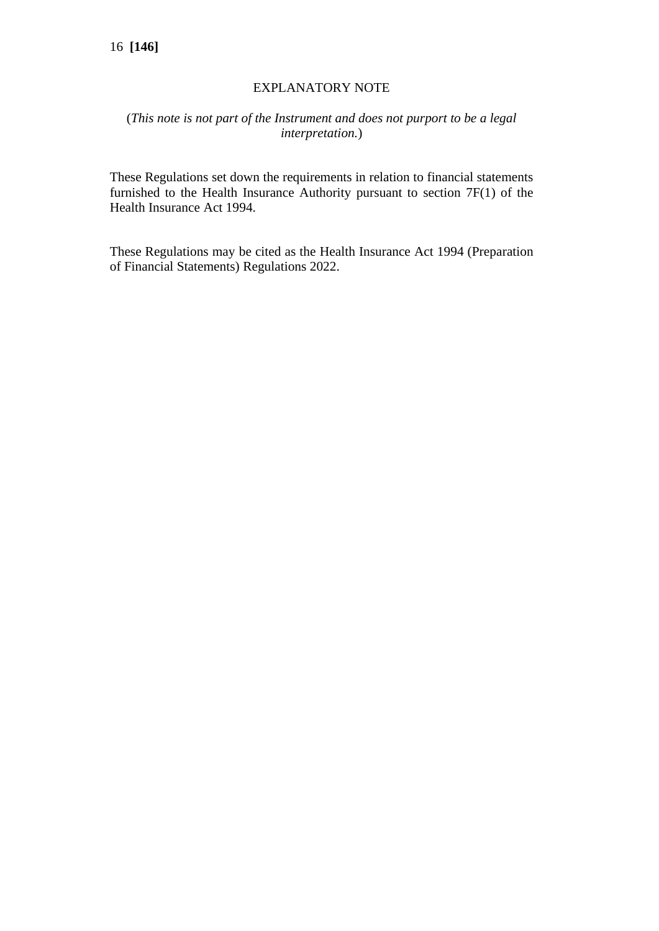## EXPLANATORY NOTE

## (*This note is not part of the Instrument and does not purport to be a legal interpretation.*)

These Regulations set down the requirements in relation to financial statements furnished to the Health Insurance Authority pursuant to section 7F(1) of the Health Insurance Act 1994.

These Regulations may be cited as the Health Insurance Act 1994 (Preparation of Financial Statements) Regulations 2022.